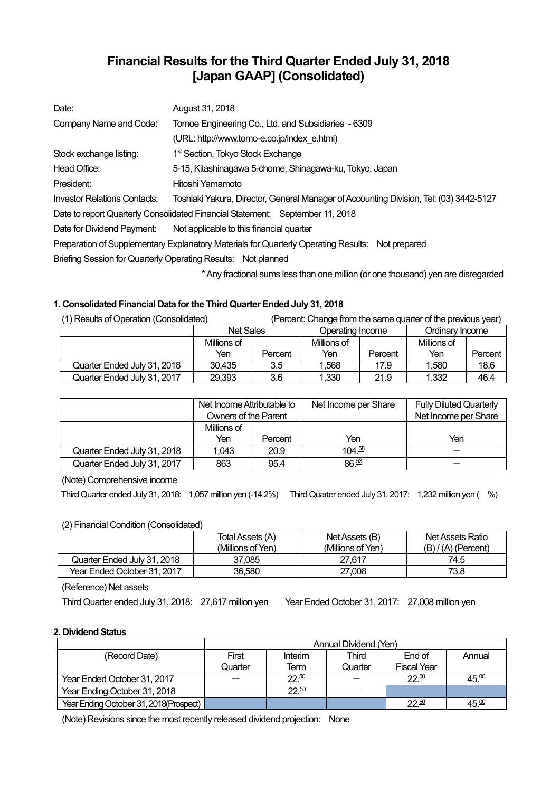# **Financial Results for the Third Quarter Ended July 31, 2018 [Japan GAAP] (Consolidated)**

| Date:                               | August 31, 2018                                                                                  |
|-------------------------------------|--------------------------------------------------------------------------------------------------|
| Company Name and Code:              | Tomoe Engineering Co., Ltd. and Subsidiaries - 6309                                              |
|                                     | (URL: http://www.tomo-e.co.jp/index e.html)                                                      |
| Stock exchange listing:             | 1 <sup>st</sup> Section, Tokyo Stock Exchange                                                    |
| Head Office:                        | 5-15, Kitashinagawa 5-chome, Shinagawa-ku, Tokyo, Japan                                          |
| President:                          | Hitoshi Yamamoto                                                                                 |
| <b>Investor Relations Contacts:</b> | Toshiaki Yakura, Director, General Manager of Accounting Division, Tel: (03) 3442-5127           |
|                                     | Date to report Quarterly Consolidated Financial Statement: September 11, 2018                    |
| Date for Dividend Payment:          | Not applicable to this financial quarter                                                         |
|                                     | Preparation of Supplementary Explanatory Materials for Quarterly Operating Results: Not prepared |
|                                     | Briefing Session for Quarterly Operating Results: Not planned                                    |
|                                     |                                                                                                  |

\* Any fractional sums less than one million (or one thousand) yen are disregarded

# **1. Consolidated Financial Data for the Third Quarter Ended July 31, 2018**

| (1) Results of Operation (Consolidated) | (Percent: Change from the same quarter of the previous year) |         |                  |         |                 |         |
|-----------------------------------------|--------------------------------------------------------------|---------|------------------|---------|-----------------|---------|
|                                         | <b>Net Sales</b>                                             |         | Operating Income |         | Ordinary Income |         |
|                                         | Millions of                                                  |         | Millions of      |         | Millions of     |         |
|                                         | Yen                                                          | Percent | Yen              | Percent | Yen             | Percent |
| Quarter Ended July 31, 2018             | 30,435                                                       | 3.5     | 1.568            | 17.9    | 1.580           | 18.6    |
| Quarter Ended July 31, 2017             | 29,393                                                       | 3.6     | 1,330            | 21.9    | 1,332           | 46.4    |

|                             | Net Income Attributable to<br>Owners of the Parent |         | Net Income per Share | <b>Fully Diluted Quarterly</b><br>Net Income per Share |
|-----------------------------|----------------------------------------------------|---------|----------------------|--------------------------------------------------------|
|                             | Millions of                                        |         |                      |                                                        |
|                             | Yen                                                | Percent | Yen                  | Yen                                                    |
| Quarter Ended July 31, 2018 | 1.043                                              | 20.9    | 104.58               |                                                        |
| Quarter Ended July 31, 2017 | 863                                                | 95.4    | $86^{53}$            |                                                        |

(Note) Comprehensive income

Third Quarter ended July 31, 2018: 1,057 million yen (-14.2%) Third Quarter ended July 31, 2017: 1,232 million yen  $(-\%)$ 

# (2) Financial Condition (Consolidated)

|                             | Total Assets (A)  | Net Assets (B)    | Net Assets Ratio      |
|-----------------------------|-------------------|-------------------|-----------------------|
|                             | (Millions of Yen) | (Millions of Yen) | $(B) / (A)$ (Percent) |
| Quarter Ended July 31, 2018 | 37.085            | 27.617            | 74.5                  |
| Year Ended October 31, 2017 | 36,580            | 27,008            | 73.8                  |

(Reference) Net assets

Third Quarter ended July 31, 2018: 27,617 million yen Year Ended October 31, 2017: 27,008 million yen

# **2. Dividend Status**

|                                        | Annual Dividend (Yen) |           |         |                    |        |  |  |
|----------------------------------------|-----------------------|-----------|---------|--------------------|--------|--|--|
| (Record Date)                          | First                 | Interim   | Third   | End of             | Annual |  |  |
|                                        | Quarter               | Term      | Quarter | <b>Fiscal Year</b> |        |  |  |
| Year Ended October 31, 2017            |                       | $22^{50}$ |         | $22^{50}$          | 45.00  |  |  |
| Year Ending October 31, 2018           |                       | 22.50     |         |                    |        |  |  |
| Year Ending October 31, 2018(Prospect) |                       |           |         | 22.50              | 45.00  |  |  |

(Note) Revisions since the most recently released dividend projection: None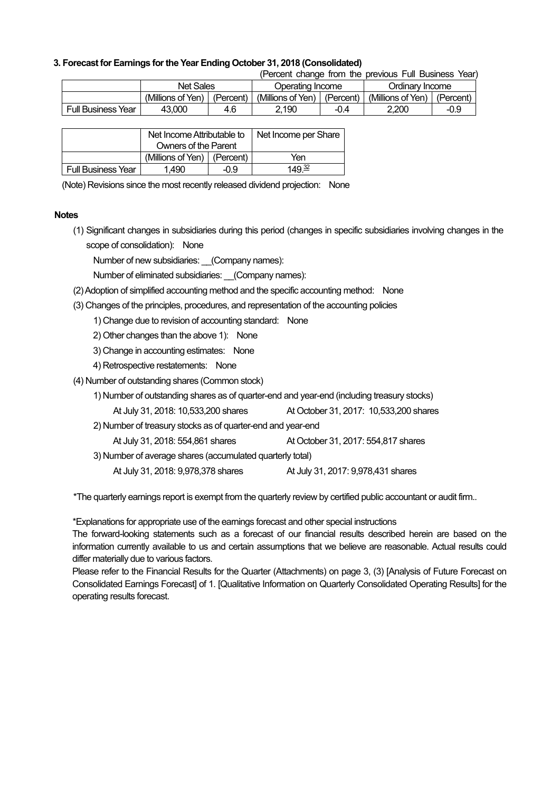### **3. Forecast for Earnings for the Year Ending October 31, 2018 (Consolidated)**

(Percent change from the previous Full Business Year)

|                           | Net Sales         |           | Operating Income  |           | Ordinary Income   |           |
|---------------------------|-------------------|-----------|-------------------|-----------|-------------------|-----------|
|                           | (Millions of Yen) | (Percent) | (Millions of Yen) | (Percent) | (Millions of Yen) | (Percent) |
| <b>Full Business Year</b> | 43.000            | 4.6       | 2.190             |           | 2.200             | -0.9      |

|                           | Net Income Attributable to    |  | Net Income per Share |
|---------------------------|-------------------------------|--|----------------------|
|                           | Owners of the Parent          |  |                      |
|                           | (Millions of Yen)   (Percent) |  | Yen                  |
| <b>Full Business Year</b> | 1.490<br>-0.9                 |  | 149 <sup>32</sup>    |

(Note) Revisions since the most recently released dividend projection: None

#### **Notes**

(1) Significant changes in subsidiaries during this period (changes in specific subsidiaries involving changes in the scope of consolidation): None

Number of new subsidiaries: \_\_(Company names):

Number of eliminated subsidiaries: (Company names):

- (2) Adoption of simplified accounting method and the specific accounting method: None
- (3) Changes of the principles, procedures, and representation of the accounting policies

1) Change due to revision of accounting standard: None

- 2) Other changes than the above 1): None
- 3) Change in accounting estimates: None
- 4) Retrospective restatements: None
- (4) Number of outstanding shares (Common stock)
	- 1) Number of outstanding shares as of quarter-end and year-end (including treasury stocks)
	- At July 31, 2018: 10,533,200 shares At October 31, 2017: 10,533,200 shares
	- 2) Number of treasury stocks as of quarter-end and year-end
		- At July 31, 2018: 554,861 shares At October 31, 2017: 554,817 shares
	- 3) Number of average shares (accumulated quarterly total)
		- At July 31, 2018: 9,978,378 shares At July 31, 2017: 9,978,431 shares

\*The quarterly earnings report is exempt from the quarterly review by certified public accountant or audit firm..

\*Explanations for appropriate use of the earnings forecast and other special instructions

The forward-looking statements such as a forecast of our financial results described herein are based on the information currently available to us and certain assumptions that we believe are reasonable. Actual results could differ materially due to various factors.

Please refer to the Financial Results for the Quarter (Attachments) on page 3, (3) [Analysis of Future Forecast on Consolidated Earnings Forecast] of 1. [Qualitative Information on Quarterly Consolidated Operating Results] for the operating results forecast.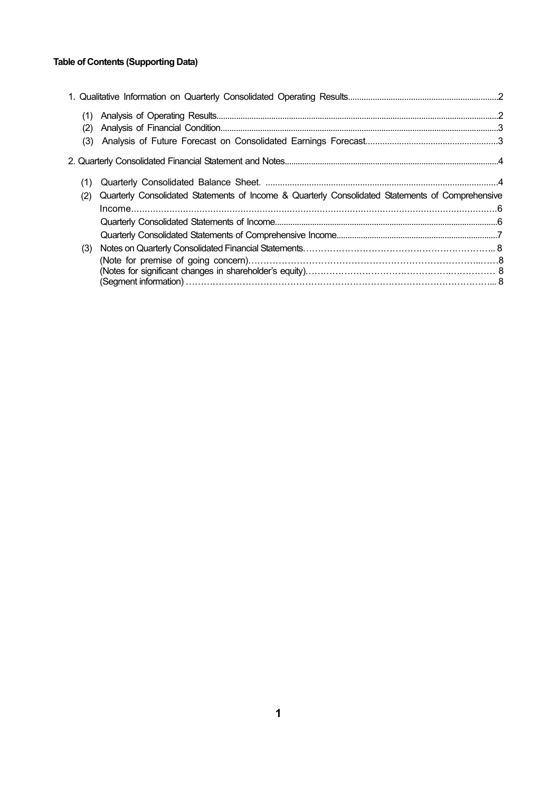# **Table of Contents (Supporting Data)**

| (2) |                                                                                                  |  |
|-----|--------------------------------------------------------------------------------------------------|--|
| (3) |                                                                                                  |  |
|     |                                                                                                  |  |
| (1) |                                                                                                  |  |
| (2) | Quarterly Consolidated Statements of Income & Quarterly Consolidated Statements of Comprehensive |  |
|     |                                                                                                  |  |
|     |                                                                                                  |  |
|     |                                                                                                  |  |
| (3) |                                                                                                  |  |
|     |                                                                                                  |  |
|     |                                                                                                  |  |
|     |                                                                                                  |  |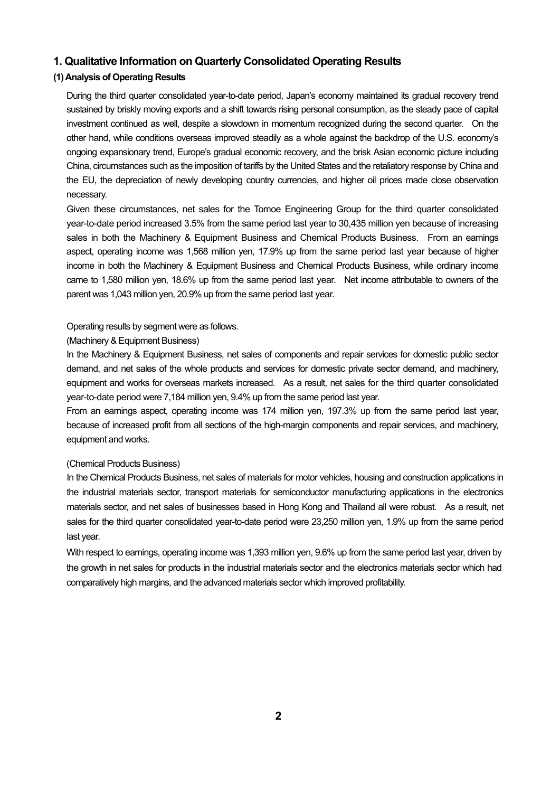# **1. Qualitative Information on Quarterly Consolidated Operating Results**

# **(1) Analysis of Operating Results**

During the third quarter consolidated year-to-date period, Japan's economy maintained its gradual recovery trend sustained by briskly moving exports and a shift towards rising personal consumption, as the steady pace of capital investment continued as well, despite a slowdown in momentum recognized during the second quarter. On the other hand, while conditions overseas improved steadily as a whole against the backdrop of the U.S. economy's ongoing expansionary trend, Europe's gradual economic recovery, and the brisk Asian economic picture including China, circumstances such as the imposition of tariffs by the United States and the retaliatory response by China and the EU, the depreciation of newly developing country currencies, and higher oil prices made close observation necessary.

Given these circumstances, net sales for the Tomoe Engineering Group for the third quarter consolidated year-to-date period increased 3.5% from the same period last year to 30,435 million yen because of increasing sales in both the Machinery & Equipment Business and Chemical Products Business. From an earnings aspect, operating income was 1,568 million yen, 17.9% up from the same period last year because of higher income in both the Machinery & Equipment Business and Chemical Products Business, while ordinary income came to 1,580 million yen, 18.6% up from the same period last year. Net income attributable to owners of the parent was 1,043 million yen, 20.9% up from the same period last year.

#### Operating results by segment were as follows.

# (Machinery & Equipment Business)

In the Machinery & Equipment Business, net sales of components and repair services for domestic public sector demand, and net sales of the whole products and services for domestic private sector demand, and machinery, equipment and works for overseas markets increased. As a result, net sales for the third quarter consolidated year-to-date period were 7,184 million yen, 9.4% up from the same period last year.

From an earnings aspect, operating income was 174 million yen, 197.3% up from the same period last year, because of increased profit from all sections of the high-margin components and repair services, and machinery, equipment and works.

# (Chemical Products Business)

In the Chemical Products Business, net sales of materials for motor vehicles, housing and construction applications in the industrial materials sector, transport materials for semiconductor manufacturing applications in the electronics materials sector, and net sales of businesses based in Hong Kong and Thailand all were robust. As a result, net sales for the third quarter consolidated year-to-date period were 23,250 million yen, 1.9% up from the same period last year.

With respect to earnings, operating income was 1,393 million yen, 9.6% up from the same period last year, driven by the growth in net sales for products in the industrial materials sector and the electronics materials sector which had comparatively high margins, and the advanced materials sector which improved profitability.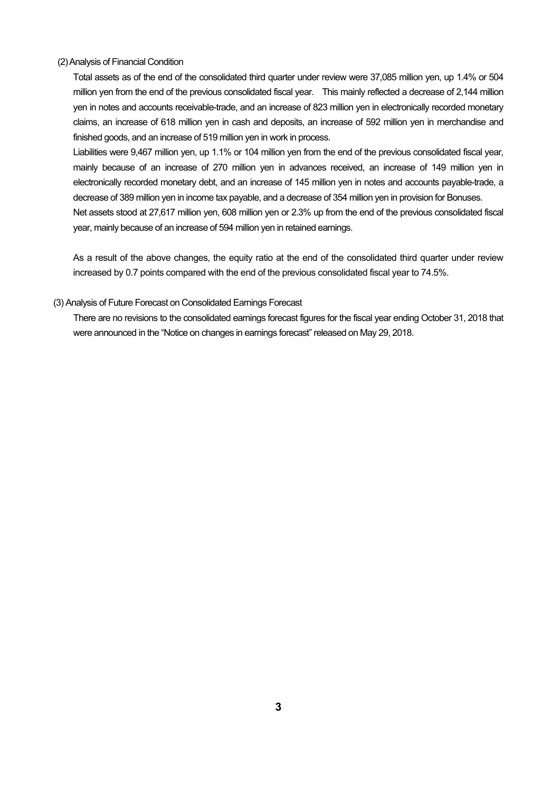#### (2) Analysis of Financial Condition

Total assets as of the end of the consolidated third quarter under review were 37,085 million yen, up 1.4% or 504 million yen from the end of the previous consolidated fiscal year. This mainly reflected a decrease of 2,144 million yen in notes and accounts receivable-trade, and an increase of 823 million yen in electronically recorded monetary claims, an increase of 618 million yen in cash and deposits, an increase of 592 million yen in merchandise and finished goods, and an increase of 519 million yen in work in process.

Liabilities were 9,467 million yen, up 1.1% or 104 million yen from the end of the previous consolidated fiscal year, mainly because of an increase of 270 million yen in advances received, an increase of 149 million yen in electronically recorded monetary debt, and an increase of 145 million yen in notes and accounts payable-trade, a decrease of 389 million yen in income tax payable, and a decrease of 354 million yen in provision for Bonuses. Net assets stood at 27,617 million yen, 608 million yen or 2.3% up from the end of the previous consolidated fiscal

As a result of the above changes, the equity ratio at the end of the consolidated third quarter under review increased by 0.7 points compared with the end of the previous consolidated fiscal year to 74.5%.

#### (3) Analysis of Future Forecast on Consolidated Earnings Forecast

year, mainly because of an increase of 594 million yen in retained earnings.

There are no revisions to the consolidated earnings forecast figures for the fiscal year ending October 31, 2018 that were announced in the "Notice on changes in earnings forecast" released on May 29, 2018.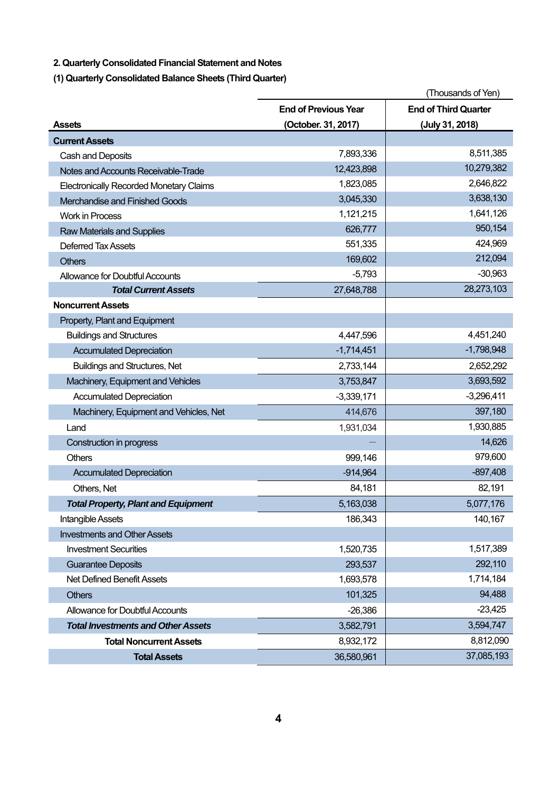**2. Quarterly Consolidated Financial Statement and Notes** 

**(1) Quarterly Consolidated Balance Sheets (Third Quarter)** 

|                                                |                             | (Thousands of Yen)          |
|------------------------------------------------|-----------------------------|-----------------------------|
|                                                | <b>End of Previous Year</b> | <b>End of Third Quarter</b> |
| <b>Assets</b>                                  | (October. 31, 2017)         | (July 31, 2018)             |
| <b>Current Assets</b>                          |                             |                             |
| Cash and Deposits                              | 7,893,336                   | 8,511,385                   |
| Notes and Accounts Receivable-Trade            | 12,423,898                  | 10,279,382                  |
| <b>Electronically Recorded Monetary Claims</b> | 1,823,085                   | 2,646,822                   |
| Merchandise and Finished Goods                 | 3,045,330                   | 3,638,130                   |
| <b>Work in Process</b>                         | 1,121,215                   | 1,641,126                   |
| <b>Raw Materials and Supplies</b>              | 626,777                     | 950,154                     |
| <b>Deferred Tax Assets</b>                     | 551,335                     | 424,969                     |
| <b>Others</b>                                  | 169,602                     | 212,094                     |
| <b>Allowance for Doubtful Accounts</b>         | $-5,793$                    | $-30,963$                   |
| <b>Total Current Assets</b>                    | 27,648,788                  | 28,273,103                  |
| <b>Noncurrent Assets</b>                       |                             |                             |
| Property, Plant and Equipment                  |                             |                             |
| <b>Buildings and Structures</b>                | 4,447,596                   | 4,451,240                   |
| <b>Accumulated Depreciation</b>                | $-1,714,451$                | $-1,798,948$                |
| <b>Buildings and Structures, Net</b>           | 2,733,144                   | 2,652,292                   |
| Machinery, Equipment and Vehicles              | 3,753,847                   | 3,693,592                   |
| <b>Accumulated Depreciation</b>                | $-3,339,171$                | $-3,296,411$                |
| Machinery, Equipment and Vehicles, Net         | 414,676                     | 397,180                     |
| Land                                           | 1,931,034                   | 1,930,885                   |
| Construction in progress                       |                             | 14,626                      |
| <b>Others</b>                                  | 999,146                     | 979,600                     |
| <b>Accumulated Depreciation</b>                | $-914,964$                  | $-897,408$                  |
| Others, Net                                    | 84,181                      | 82,191                      |
| <b>Total Property, Plant and Equipment</b>     | 5,163,038                   | 5,077,176                   |
| <b>Intangible Assets</b>                       | 186,343                     | 140,167                     |
| <b>Investments and Other Assets</b>            |                             |                             |
| <b>Investment Securities</b>                   | 1,520,735                   | 1,517,389                   |
| <b>Guarantee Deposits</b>                      | 293,537                     | 292,110                     |
| Net Defined Benefit Assets                     | 1,693,578                   | 1,714,184                   |
| <b>Others</b>                                  | 101,325                     | 94,488                      |
| Allowance for Doubtful Accounts                | $-26,386$                   | $-23,425$                   |
| <b>Total Investments and Other Assets</b>      | 3,582,791                   | 3,594,747                   |
| <b>Total Noncurrent Assets</b>                 | 8,932,172                   | 8,812,090                   |
| <b>Total Assets</b>                            | 36,580,961                  | 37,085,193                  |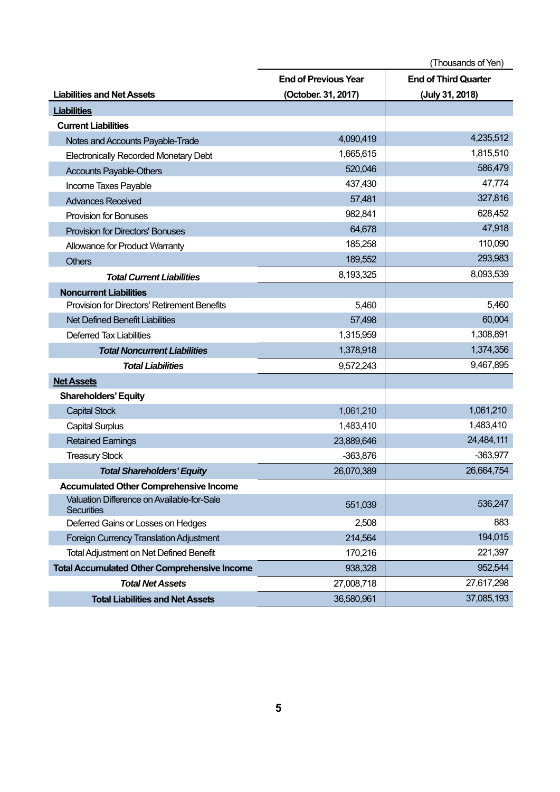|                                                                 | (Thousands of Yen)          |                             |  |
|-----------------------------------------------------------------|-----------------------------|-----------------------------|--|
|                                                                 | <b>End of Previous Year</b> | <b>End of Third Quarter</b> |  |
| <b>Liabilities and Net Assets</b>                               | (October. 31, 2017)         | (July 31, 2018)             |  |
| <b>Liabilities</b>                                              |                             |                             |  |
| <b>Current Liabilities</b>                                      |                             |                             |  |
| Notes and Accounts Payable-Trade                                | 4,090,419                   | 4,235,512                   |  |
| <b>Electronically Recorded Monetary Debt</b>                    | 1,665,615                   | 1,815,510                   |  |
| <b>Accounts Payable-Others</b>                                  | 520,046                     | 586,479                     |  |
| Income Taxes Payable                                            | 437,430                     | 47,774                      |  |
| <b>Advances Received</b>                                        | 57,481                      | 327,816                     |  |
| <b>Provision for Bonuses</b>                                    | 982,841                     | 628,452                     |  |
| <b>Provision for Directors' Bonuses</b>                         | 64,678                      | 47,918                      |  |
| Allowance for Product Warranty                                  | 185,258                     | 110,090                     |  |
| <b>Others</b>                                                   | 189,552                     | 293,983                     |  |
| <b>Total Current Liabilities</b>                                | 8,193,325                   | 8,093,539                   |  |
| <b>Noncurrent Liabilities</b>                                   |                             |                             |  |
| Provision for Directors' Retirement Benefits                    | 5,460                       | 5,460                       |  |
| <b>Net Defined Benefit Liabilities</b>                          | 57,498                      | 60,004                      |  |
| <b>Deferred Tax Liabilities</b>                                 | 1,315,959                   | 1,308,891                   |  |
| <b>Total Noncurrent Liabilities</b>                             | 1,378,918                   | 1,374,356                   |  |
| <b>Total Liabilities</b>                                        | 9,572,243                   | 9,467,895                   |  |
| <b>Net Assets</b>                                               |                             |                             |  |
| <b>Shareholders' Equity</b>                                     |                             |                             |  |
| <b>Capital Stock</b>                                            | 1,061,210                   | 1,061,210                   |  |
| <b>Capital Surplus</b>                                          | 1,483,410                   | 1,483,410                   |  |
| <b>Retained Earnings</b>                                        | 23,889,646                  | 24,484,111                  |  |
| <b>Treasury Stock</b>                                           | $-363,876$                  | $-363,977$                  |  |
| <b>Total Shareholders' Equity</b>                               | 26,070,389                  | 26,664,754                  |  |
| <b>Accumulated Other Comprehensive Income</b>                   |                             |                             |  |
| Valuation Difference on Available-for-Sale<br><b>Securities</b> | 551,039                     | 536,247                     |  |
| Deferred Gains or Losses on Hedges                              | 2,508                       | 883                         |  |
| Foreign Currency Translation Adjustment                         | 214,564                     | 194,015                     |  |
| <b>Total Adjustment on Net Defined Benefit</b>                  | 170,216                     | 221,397                     |  |
| <b>Total Accumulated Other Comprehensive Income</b>             | 938,328                     | 952,544                     |  |
| <b>Total Net Assets</b>                                         | 27,008,718                  | 27,617,298                  |  |
| <b>Total Liabilities and Net Assets</b>                         | 36,580,961                  | 37,085,193                  |  |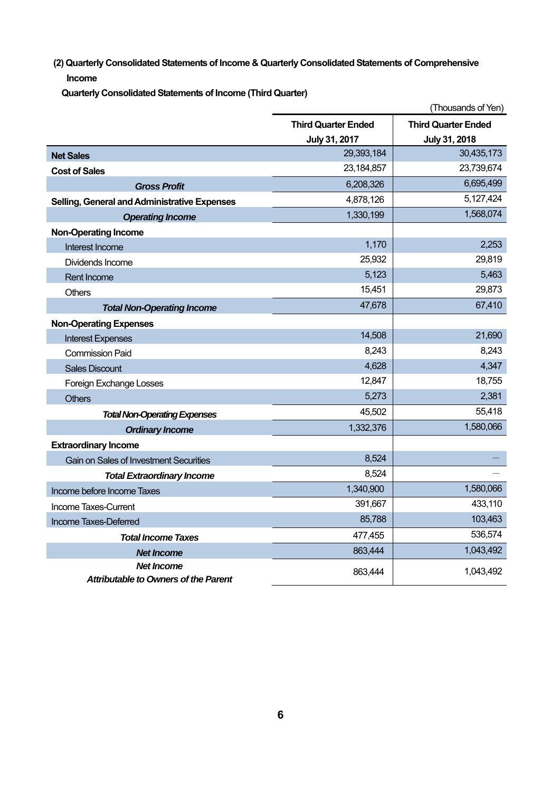**(2) Quarterly Consolidated Statements of Income & Quarterly Consolidated Statements of Comprehensive Income**

**Quarterly Consolidated Statements of Income (Third Quarter)** 

|                                                                  |                            | (Thousands of Yen)         |
|------------------------------------------------------------------|----------------------------|----------------------------|
|                                                                  | <b>Third Quarter Ended</b> | <b>Third Quarter Ended</b> |
|                                                                  | July 31, 2017              | July 31, 2018              |
| <b>Net Sales</b>                                                 | 29,393,184                 | 30,435,173                 |
| <b>Cost of Sales</b>                                             | 23, 184, 857               | 23,739,674                 |
| <b>Gross Profit</b>                                              | 6,208,326                  | 6,695,499                  |
| Selling, General and Administrative Expenses                     | 4,878,126                  | 5,127,424                  |
| <b>Operating Income</b>                                          | 1,330,199                  | 1,568,074                  |
| <b>Non-Operating Income</b>                                      |                            |                            |
| Interest Income                                                  | 1,170                      | 2,253                      |
| Dividends Income                                                 | 25,932                     | 29,819                     |
| <b>Rent Income</b>                                               | 5,123                      | 5,463                      |
| Others                                                           | 15,451                     | 29,873                     |
| <b>Total Non-Operating Income</b>                                | 47,678                     | 67,410                     |
| <b>Non-Operating Expenses</b>                                    |                            |                            |
| <b>Interest Expenses</b>                                         | 14,508                     | 21,690                     |
| <b>Commission Paid</b>                                           | 8,243                      | 8,243                      |
| <b>Sales Discount</b>                                            | 4,628                      | 4,347                      |
| Foreign Exchange Losses                                          | 12,847                     | 18,755                     |
| <b>Others</b>                                                    | 5,273                      | 2,381                      |
| <b>Total Non-Operating Expenses</b>                              | 45,502                     | 55,418                     |
| <b>Ordinary Income</b>                                           | 1,332,376                  | 1,580,066                  |
| <b>Extraordinary Income</b>                                      |                            |                            |
| <b>Gain on Sales of Investment Securities</b>                    | 8,524                      |                            |
| <b>Total Extraordinary Income</b>                                | 8,524                      |                            |
| Income before Income Taxes                                       | 1,340,900                  | 1,580,066                  |
| Income Taxes-Current                                             | 391,667                    | 433,110                    |
| Income Taxes-Deferred                                            | 85,788                     | 103,463                    |
| <b>Total Income Taxes</b>                                        | 477,455                    | 536,574                    |
| <b>Net Income</b>                                                | 863,444                    | 1,043,492                  |
| <b>Net Income</b><br><b>Attributable to Owners of the Parent</b> | 863,444                    | 1,043,492                  |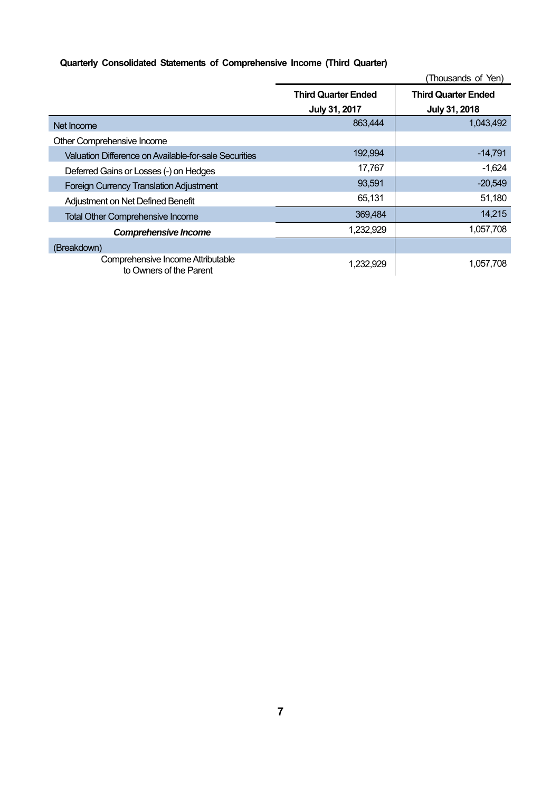# **Quarterly Consolidated Statements of Comprehensive Income (Third Quarter)**

|                                                              |                            | (Thousands of Yen)         |
|--------------------------------------------------------------|----------------------------|----------------------------|
|                                                              | <b>Third Quarter Ended</b> | <b>Third Quarter Ended</b> |
|                                                              | July 31, 2017              | July 31, 2018              |
| Net Income                                                   | 863,444                    | 1,043,492                  |
| Other Comprehensive Income                                   |                            |                            |
| Valuation Difference on Available-for-sale Securities        | 192,994                    | $-14,791$                  |
| Deferred Gains or Losses (-) on Hedges                       | 17,767                     | $-1,624$                   |
| <b>Foreign Currency Translation Adjustment</b>               | 93,591                     | $-20,549$                  |
| Adjustment on Net Defined Benefit                            | 65,131                     | 51,180                     |
| <b>Total Other Comprehensive Income</b>                      | 369,484                    | 14,215                     |
| <b>Comprehensive Income</b>                                  | 1,232,929                  | 1,057,708                  |
| (Breakdown)                                                  |                            |                            |
| Comprehensive Income Attributable<br>to Owners of the Parent | 1,232,929                  | 1,057,708                  |